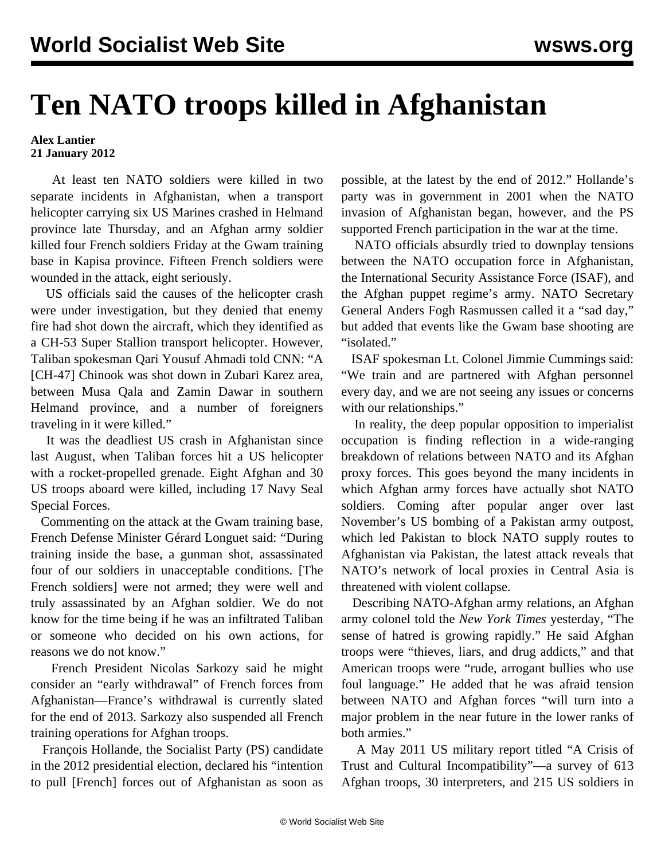## **Ten NATO troops killed in Afghanistan**

## **Alex Lantier 21 January 2012**

 At least ten NATO soldiers were killed in two separate incidents in Afghanistan, when a transport helicopter carrying six US Marines crashed in Helmand province late Thursday, and an Afghan army soldier killed four French soldiers Friday at the Gwam training base in Kapisa province. Fifteen French soldiers were wounded in the attack, eight seriously.

 US officials said the causes of the helicopter crash were under investigation, but they denied that enemy fire had shot down the aircraft, which they identified as a CH-53 Super Stallion transport helicopter. However, Taliban spokesman Qari Yousuf Ahmadi told CNN: "A [CH-47] Chinook was shot down in Zubari Karez area, between Musa Qala and Zamin Dawar in southern Helmand province, and a number of foreigners traveling in it were killed."

 It was the deadliest US crash in Afghanistan since last August, when Taliban forces hit a US helicopter with a rocket-propelled grenade. Eight Afghan and 30 US troops aboard were killed, including 17 Navy Seal Special Forces.

 Commenting on the attack at the Gwam training base, French Defense Minister Gérard Longuet said: "During training inside the base, a gunman shot, assassinated four of our soldiers in unacceptable conditions. [The French soldiers] were not armed; they were well and truly assassinated by an Afghan soldier. We do not know for the time being if he was an infiltrated Taliban or someone who decided on his own actions, for reasons we do not know."

 French President Nicolas Sarkozy said he might consider an "early withdrawal" of French forces from Afghanistan—France's withdrawal is currently slated for the end of 2013. Sarkozy also suspended all French training operations for Afghan troops.

 François Hollande, the Socialist Party (PS) candidate in the 2012 presidential election, declared his "intention to pull [French] forces out of Afghanistan as soon as possible, at the latest by the end of 2012." Hollande's party was in government in 2001 when the NATO invasion of Afghanistan began, however, and the PS supported French participation in the war at the time.

 NATO officials absurdly tried to downplay tensions between the NATO occupation force in Afghanistan, the International Security Assistance Force (ISAF), and the Afghan puppet regime's army. NATO Secretary General Anders Fogh Rasmussen called it a "sad day," but added that events like the Gwam base shooting are "isolated."

 ISAF spokesman Lt. Colonel Jimmie Cummings said: "We train and are partnered with Afghan personnel every day, and we are not seeing any issues or concerns with our relationships."

 In reality, the deep popular opposition to imperialist occupation is finding reflection in a wide-ranging breakdown of relations between NATO and its Afghan proxy forces. This goes beyond the many incidents in which Afghan army forces have actually shot NATO soldiers. Coming after popular anger over last November's US bombing of a Pakistan army outpost, which led Pakistan to block NATO supply routes to Afghanistan via Pakistan, the latest attack reveals that NATO's network of local proxies in Central Asia is threatened with violent collapse.

 Describing NATO-Afghan army relations, an Afghan army colonel told the *New York Times* yesterday, "The sense of hatred is growing rapidly." He said Afghan troops were "thieves, liars, and drug addicts," and that American troops were "rude, arrogant bullies who use foul language." He added that he was afraid tension between NATO and Afghan forces "will turn into a major problem in the near future in the lower ranks of both armies."

 A May 2011 US military report titled "A Crisis of Trust and Cultural Incompatibility"—a survey of 613 Afghan troops, 30 interpreters, and 215 US soldiers in